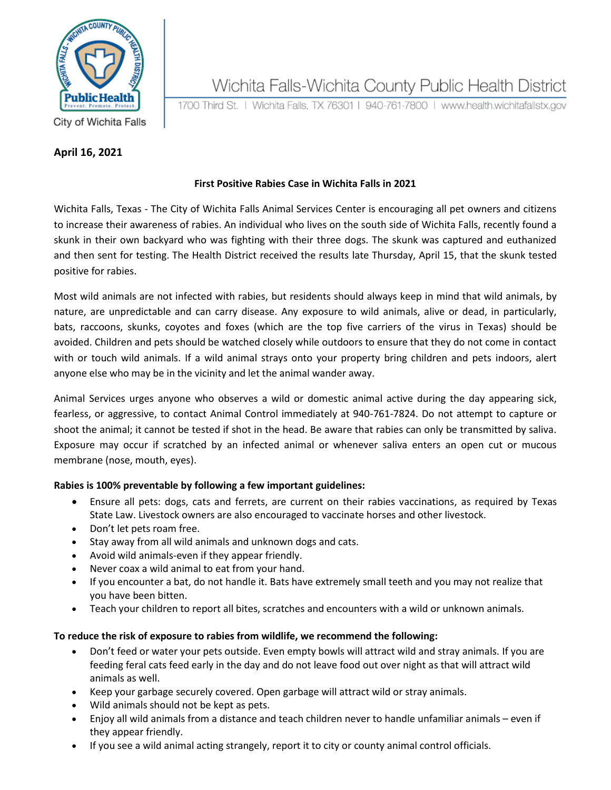

# Wichita Falls-Wichita County Public Health District

1700 Third St. | Wichita Falls, TX 76301 | 940-761-7800 | www.health.wichitafallstx.gov

City of Wichita Falls

#### **April 16, 2021**

### **First Positive Rabies Case in Wichita Falls in 2021**

Wichita Falls, Texas - The City of Wichita Falls Animal Services Center is encouraging all pet owners and citizens to increase their awareness of rabies. An individual who lives on the south side of Wichita Falls, recently found a skunk in their own backyard who was fighting with their three dogs. The skunk was captured and euthanized and then sent for testing. The Health District received the results late Thursday, April 15, that the skunk tested positive for rabies.

Most wild animals are not infected with rabies, but residents should always keep in mind that wild animals, by nature, are unpredictable and can carry disease. Any exposure to wild animals, alive or dead, in particularly, bats, raccoons, skunks, coyotes and foxes (which are the top five carriers of the virus in Texas) should be avoided. Children and pets should be watched closely while outdoors to ensure that they do not come in contact with or touch wild animals. If a wild animal strays onto your property bring children and pets indoors, alert anyone else who may be in the vicinity and let the animal wander away.

Animal Services urges anyone who observes a wild or domestic animal active during the day appearing sick, fearless, or aggressive, to contact Animal Control immediately at 940-761-7824. Do not attempt to capture or shoot the animal; it cannot be tested if shot in the head. Be aware that rabies can only be transmitted by saliva. Exposure may occur if scratched by an infected animal or whenever saliva enters an open cut or mucous membrane (nose, mouth, eyes).

#### **Rabies is 100% preventable by following a few important guidelines:**

- Ensure all pets: dogs, cats and ferrets, are current on their rabies vaccinations, as required by Texas State Law. Livestock owners are also encouraged to vaccinate horses and other livestock.
- Don't let pets roam free.
- Stay away from all wild animals and unknown dogs and cats.
- Avoid wild animals-even if they appear friendly.
- Never coax a wild animal to eat from your hand.
- If you encounter a bat, do not handle it. Bats have extremely small teeth and you may not realize that you have been bitten.
- Teach your children to report all bites, scratches and encounters with a wild or unknown animals.

#### **To reduce the risk of exposure to rabies from wildlife, we recommend the following:**

- Don't feed or water your pets outside. Even empty bowls will attract wild and stray animals. If you are feeding feral cats feed early in the day and do not leave food out over night as that will attract wild animals as well.
- Keep your garbage securely covered. Open garbage will attract wild or stray animals.
- Wild animals should not be kept as pets.
- Enjoy all wild animals from a distance and teach children never to handle unfamiliar animals even if they appear friendly.
- If you see a wild animal acting strangely, report it to city or county animal control officials.